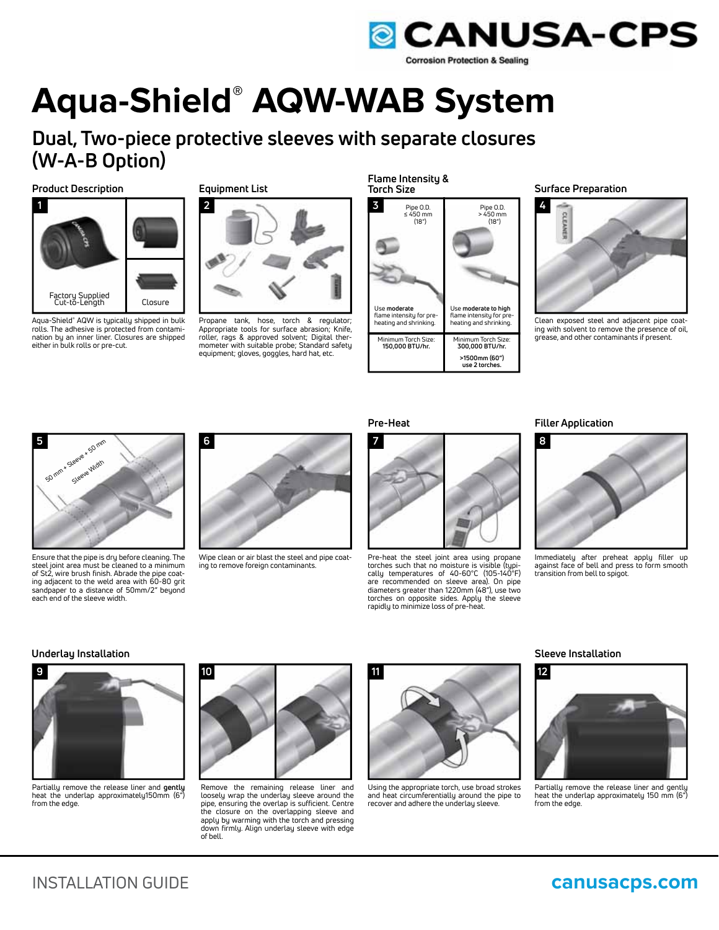

# **Aqua-Shield® AQW-WAB System**

**Dual, Two-piece protective sleeves with separate closures (W-A-B Option)**

# **Product Description Surface Preparation Surface Preparation Surface Preparation**



Aqua-Shield**®** AQW is typically shipped in bulk rolls. The adhesive is protected from contamination by an inner liner. Closures are shipped either in bulk rolls or pre-cut.

**Equipment List**



Propane tank, hose, torch & regulator; Appropriate tools for surface abrasion; Knife, roller, rags & approved solvent; Digital thermometer with suitable probe; Standard safety equipment; gloves, goggles, hard hat, etc.

**Flame Intensity & Torch Size**





Clean exposed steel and adjacent pipe coating with solvent to remove the presence of oil, grease, and other contaminants if present.



Ensure that the pipe is dry before cleaning. The steel joint area must be cleaned to a minimum of St2, wire brush finish. Abrade the pipe coating adjacent to the weld area with 60-80 grit sandpaper to a distance of 50mm/2" beyond each end of the sleeve width.



Wipe clean or air blast the steel and pipe coating to remove foreign contaminants.



Pre-heat the steel joint area using propane torches such that no moisture is visible (typi-cally temperatures of 40-60°C (105-140°F) are recommended on sleeve area). On pipe diameters greater than 1220mm (48"), use two torches on opposite sides. Apply the sleeve rapidly to minimize loss of pre-heat.

**Pre-Heat** Filler Application



Immediately after preheat apply filler up against face of bell and press to form smooth transition from bell to spigot.

# **Underlay Installation Sleeve Installation**



Partially remove the release liner and **gently** heat the underlap approximately150mm (6") from the edge.



Remove the remaining release liner and loosely wrap the underlay sleeve around the pipe, ensuring the overlap is sufficient. Centre<br>the closure on the overlapping sleeve and the closure on the overlapping sleeve and apply by warming with the torch and pressing down firmly. Align underlay sleeve with edge of bell.



Using the appropriate torch, use broad strokes and heat circumferentially around the pipe to recover and adhere the underlay sleeve.



Partially remove the release liner and gently heat the underlap approximately 150 mm (6") from the edge.